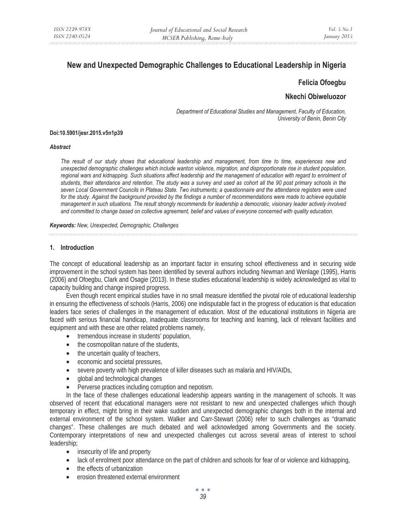# **New and Unexpected Demographic Challenges to Educational Leadership in Nigeria**

# **Felicia Ofoegbu**

# **Nkechi Obiweluozor**

*Department of Educational Studies and Management, Faculty of Education, University of Benin, Benin City* 

#### **Doi:10.5901/jesr.2015.v5n1p39**

#### *Abstract*

*The result of our study shows that educational leadership and management, from time to time, experiences new and unexpected demographic challenges which include wanton violence, migration, and disproportionate rise in student population,*  regional wars and kidnapping. Such situations affect leadership and the management of education with regard to enrolment of *students, their attendance and retention. The study was a survey and used as cohort all the 90 post primary schools in the seven Local Government Councils in Plateau State. Two instruments; a questionnaire and the attendance registers were used*  for the study. Against the background provided by the findings a number of recommendations were made to achieve equitable *management in such situations. The result strongly recommends for leadership a democratic, visionary leader actively involved and committed to change based on collective agreement, belief and values of everyone concerned with quality education.* 

*Keywords: New, Unexpected, Demographic, Challenges* 

#### **1. Introduction**

The concept of educational leadership as an important factor in ensuring school effectiveness and in securing wide improvement in the school system has been identified by several authors including Newman and Wenlage (1995), Harris (2006) and Ofoegbu, Clark and Osagie (2013). In these studies educational leadership is widely acknowledged as vital to capacity building and change inspired progress.

Even though recent empirical studies have in no small measure identified the pivotal role of educational leadership in ensuring the effectiveness of schools (Harris, 2006) one indisputable fact in the progress of education is that education leaders face series of challenges in the management of education. Most of the educational institutions in Nigeria are faced with serious financial handicap, inadequate classrooms for teaching and learning, lack of relevant facilities and equipment and with these are other related problems namely,

- tremendous increase in students' population,
- the cosmopolitan nature of the students,
- the uncertain quality of teachers,
- economic and societal pressures,
- severe poverty with high prevalence of killer diseases such as malaria and HIV/AIDs,
- global and technological changes
- Perverse practices including corruption and nepotism.

In the face of these challenges educational leadership appears wanting in the management of schools. It was observed of recent that educational managers were not resistant to new and unexpected challenges which though temporary in effect, might bring in their wake sudden and unexpected demographic changes both in the internal and external environment of the school system. Walker and Carr-Stewart (2006) refer to such challenges as "dramatic changes". These challenges are much debated and well acknowledged among Governments and the society. Contemporary interpretations of new and unexpected challenges cut across several areas of interest to school leadership;

- insecurity of life and property
- lack of enrolment poor attendance on the part of children and schools for fear of or violence and kidnapping,
- the effects of urbanization
- erosion threatened external environment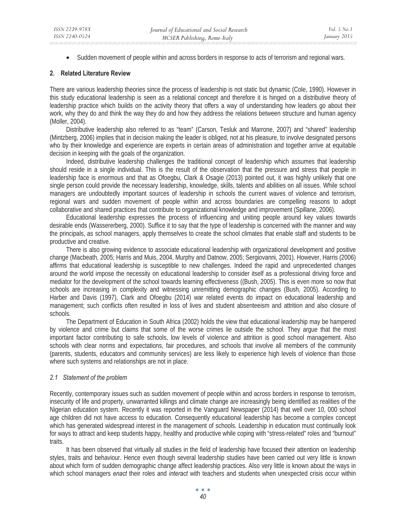• Sudden movement of people within and across borders in response to acts of terrorism and regional wars.

### **2. Related Literature Review**

There are various leadership theories since the process of leadership is not static but dynamic (Cole, 1990). However in this study educational leadership is seen as a relational concept and therefore it is hinged on a distributive theory of leadership practice which builds on the activity theory that offers a way of understanding how leaders go about their work, why they do and think the way they do and how they address the relations between structure and human agency (Moller, 2004).

Distributive leadership also referred to as "team" (Carson, Tesluk and Marrone, 2007) and "shared" leadership (Mintzberg, 2006) implies that in decision making the leader is obliged, not at his pleasure, to involve designated persons who by their knowledge and experience are experts in certain areas of administration and together arrive at equitable decision in keeping with the goals of the organization.

Indeed, distributive leadership challenges the traditional concept of leadership which assumes that leadership should reside in a single individual. This is the result of the observation that the pressure and stress that people in leadership face is enormous and that as Ofoegbu, Clark & Osagie (2013) pointed out, it was highly unlikely that one single person could provide the necessary leadership, knowledge, skills, talents and abilities on all issues. While school managers are undoubtedly important sources of leadership in schools the current waves of violence and terrorism, regional wars and sudden movement of people within and across boundaries are compelling reasons to adopt collaborative and shared practices that contribute to organizational knowledge and improvement (Spillane, 2006).

Educational leadership expresses the process of influencing and uniting people around key values towards desirable ends (Wassererberg, 2000). Suffice it to say that the type of leadership is concerned with the manner and way the principals, as school managers, apply themselves to create the school climates that enable staff and students to be productive and creative.

There is also growing evidence to associate educational leadership with organizational development and positive change (Macbeath, 2005; Harris and Muis, 2004, Murphy and Datnow, 2005; Sergiovanni, 2001). However, Harris (2006) affirms that educational leadership is susceptible to new challenges. Indeed the rapid and unprecedented changes around the world impose the necessity on educational leadership to consider itself as a professional driving force and mediator for the development of the school towards learning effectiveness ((Bush, 2005). This is even more so now that schools are increasing in complexity and witnessing unremitting demographic changes (Bush, 2005). According to Harber and Davis (1997), Clark and Ofoegbu (2014) war related events do impact on educational leadership and management; such conflicts often resulted in loss of lives and student absenteeism and attrition and also closure of schools.

The Department of Education in South Africa (2002) holds the view that educational leadership may be hampered by violence and crime but claims that some of the worse crimes lie outside the school. They argue that the most important factor contributing to safe schools, low levels of violence and attrition is good school management. Also schools with clear norms and expectations, fair procedures, and schools that involve all members of the community (parents, students, educators and community services) are less likely to experience high levels of violence than those where such systems and relationships are not in place.

#### *2.1 Statement of the problem*

Recently, contemporary issues such as sudden movement of people within and across borders in response to terrorism, insecurity of life and property, unwarranted killings and climate change are increasingly being identified as realities of the Nigerian education system. Recently it was reported in the Vanguard Newspaper (2014) that well over 10, 000 school age children did not have access to education. Consequently educational leadership has become a complex concept which has generated widespread interest in the management of schools. Leadership in education must continually look for ways to attract and keep students happy, healthy and productive while coping with "stress-related" roles and "burnout" traits.

It has been observed that virtually all studies in the field of leadership have focused their attention on leadership styles, traits and behaviour. Hence even though several leadership studies have been carried out very little is known about which form of sudden demographic change affect leadership practices. Also very little is known about the ways in which school managers *enact* their roles and *interact* with teachers and students when unexpected crisis occur within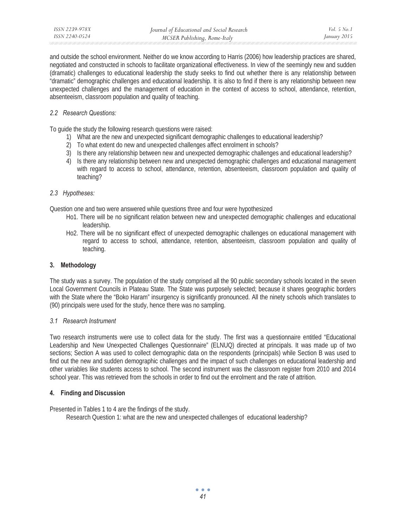| ISSN 2239-978X | Journal of Educational and Social Research | <i>Vol.</i> 5 No. 1 |
|----------------|--------------------------------------------|---------------------|
| ISSN 2240-0524 | MCSER Publishing, Rome-Italy               | January 2015        |

and outside the school environment. Neither do we know according to Harris (2006) how leadership practices are shared, negotiated and constructed in schools to facilitate organizational effectiveness. In view of the seemingly new and sudden (dramatic) challenges to educational leadership the study seeks to find out whether there is any relationship between "dramatic" demographic challenges and educational leadership. It is also to find if there is any relationship between new unexpected challenges and the management of education in the context of access to school, attendance, retention, absenteeism, classroom population and quality of teaching.

# *2.2 Research Questions:*

To guide the study the following research questions were raised:

- 1) What are the new and unexpected significant demographic challenges to educational leadership?
- 2) To what extent do new and unexpected challenges affect enrolment in schools?
- 3) Is there any relationship between new and unexpected demographic challenges and educational leadership?
- 4) Is there any relationship between new and unexpected demographic challenges and educational management with regard to access to school, attendance, retention, absenteeism, classroom population and quality of teaching?

#### *2.3 Hypotheses:*

Question one and two were answered while questions three and four were hypothesized

- Ho1. There will be no significant relation between new and unexpected demographic challenges and educational leadership.
- Ho2. There will be no significant effect of unexpected demographic challenges on educational management with regard to access to school, attendance, retention, absenteeism, classroom population and quality of teaching.

# **3. Methodology**

The study was a survey. The population of the study comprised all the 90 public secondary schools located in the seven Local Government Councils in Plateau State. The State was purposely selected; because it shares geographic borders with the State where the "Boko Haram" insurgency is significantly pronounced. All the ninety schools which translates to (90) principals were used for the study, hence there was no sampling.

# *3.1 Research Instrument*

Two research instruments were use to collect data for the study. The first was a questionnaire entitled "Educational Leadership and New Unexpected Challenges Questionnaire" (ELNUQ) directed at principals. It was made up of two sections; Section A was used to collect demographic data on the respondents (principals) while Section B was used to find out the new and sudden demographic challenges and the impact of such challenges on educational leadership and other variables like students access to school. The second instrument was the classroom register from 2010 and 2014 school year. This was retrieved from the schools in order to find out the enrolment and the rate of attrition.

# **4. Finding and Discussion**

Presented in Tables 1 to 4 are the findings of the study.

Research Question 1: what are the new and unexpected challenges of educational leadership?

. . . *41*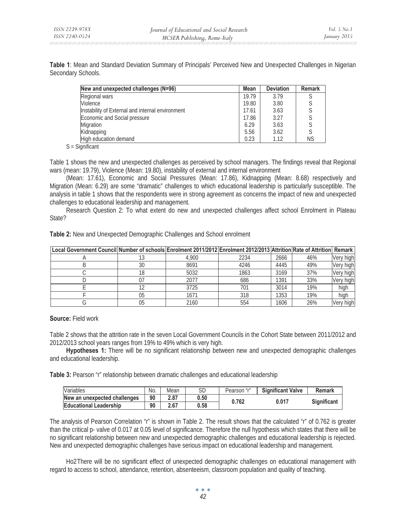**Table 1**: Mean and Standard Deviation Summary of Principals' Perceived New and Unexpected Challenges in Nigerian Secondary Schools.

| New and unexpected challenges (N=96)             | <b>Mean</b> | <b>Deviation</b> | <b>Remark</b> |
|--------------------------------------------------|-------------|------------------|---------------|
| Regional wars                                    | 19.79       | 3.79             |               |
| Violence                                         | 19.80       | 3.80             |               |
| Instability of External and internal environment | 17.61       | 3.63             |               |
| Economic and Social pressure                     | 17.86       | 3.27             |               |
| Migration                                        | 6.29        | 3.63             |               |
| Kidnapping                                       | 5.56        | 3.62             |               |
| High education demand                            | 0.23        | 1.12             | <b>NS</b>     |

S = Significant

Table 1 shows the new and unexpected challenges as perceived by school managers. The findings reveal that Regional wars (mean: 19.79), Violence (Mean: 19.80), instability of external and internal environment

(Mean: 17.61), Economic and Social Pressures (Mean: 17.86), Kidnapping (Mean: 8.68) respectively and Migration (Mean: 6.29) are some "dramatic" challenges to which educational leadership is particularly susceptible. The analysis in table 1 shows that the respondents were in strong agreement as concerns the impact of new and unexpected challenges to educational leadership and management.

Research Question 2: To what extent do new and unexpected challenges affect school Enrolment in Plateau State?

**Table 2:** New and Unexpected Demographic Challenges and School enrolment

| ∣Local Government Council Number of schools∣Enrolment 2011/2012∣Enrolment 2012/2013∣Attrition∣Rate of Attrition∣ Remark |    |       |      |      |     |           |
|-------------------------------------------------------------------------------------------------------------------------|----|-------|------|------|-----|-----------|
|                                                                                                                         |    | 4.900 | 2234 | 2666 | 46% | Very high |
|                                                                                                                         | 30 | 8691  | 4246 | 4445 | 49% | Very high |
|                                                                                                                         | 18 | 5032  | 1863 | 3169 | 37% | Very high |
|                                                                                                                         | 07 | 2077  | 686  | 1391 | 33% | Very high |
|                                                                                                                         |    | 3725  | 701  | 3014 | 19% | high      |
|                                                                                                                         | 05 | 1671  | 318  | 1353 | 19% | high      |
|                                                                                                                         | 05 | 2160  | 554  | 1606 | 26% | Very high |

# **Source:** Field work

Table 2 shows that the attrition rate in the seven Local Government Councils in the Cohort State between 2011/2012 and 2012/2013 school years ranges from 19% to 49% which is very high.

**Hypotheses 1:** There will be no significant relationship between new and unexpected demographic challenges and educational leadership.

**Table 3:** Pearson "r" relationship between dramatic challenges and educational leadership

| Variables                     | No. | Mean | SD   | Pearson "r" | <b>Significant Valve</b> | <b>Remark</b> |  |
|-------------------------------|-----|------|------|-------------|--------------------------|---------------|--|
| New an unexpected challenges  | 90  | 2.87 | 0.50 | 0.762       | 0.017                    | Sianificant   |  |
| <b>Educational Leadership</b> | 90  | 2.67 | 0.58 |             |                          |               |  |

The analysis of Pearson Correlation "r" is shown in Table 2. The result shows that the calculated "r" of 0.762 is greater than the critical p- valve of 0.017 at 0.05 level of significance. Therefore the null hypothesis which states that there will be no significant relationship between new and unexpected demographic challenges and educational leadership is rejected. New and unexpected demographic challenges have serious impact on educational leadership and management.

Ho2 There will be no significant effect of unexpected demographic challenges on educational management with regard to access to school, attendance, retention, absenteeism, classroom population and quality of teaching.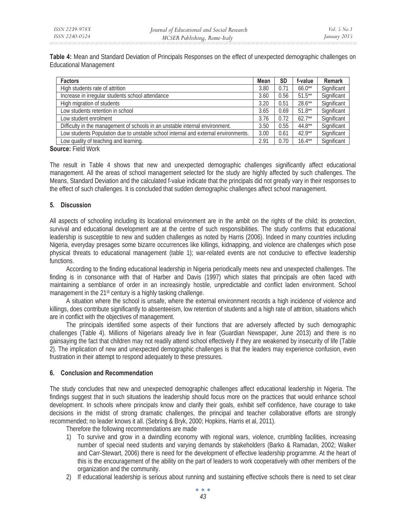**Table 4:** Mean and Standard Deviation of Principals Responses on the effect of unexpected demographic challenges on Educational Management

| <b>Factors</b>                                                                     | Mean | <b>SD</b> | f-value   | <b>Remark</b> |
|------------------------------------------------------------------------------------|------|-----------|-----------|---------------|
| High students rate of attrition                                                    | 3.80 | 0.71      | $66.0**$  | Significant   |
| Increase in irregular students school attendance                                   | 3.60 | 0.56      | $51.5***$ | Significant   |
| High migration of students                                                         | 3.20 | 0.51      | $28.6***$ | Significant   |
| Low students retention in school                                                   | 3.65 | 0.69      | $51.8**$  | Significant   |
| Low student enrolment                                                              | 3.76 | 0.72      | $62.7**$  | Significant   |
| Difficulty in the management of schools in an unstable internal environment.       | 3.50 | 0.55      | $44.8**$  | Significant   |
| Low students Population due to unstable school internal and external environments. | 3.00 | 0.61      | $42.9**$  | Significant   |
| Low quality of teaching and learning.                                              |      | 0.70      | $16.4***$ | Significant   |

**Source:** Field Work

The result in Table 4 shows that new and unexpected demographic challenges significantly affect educational management. All the areas of school management selected for the study are highly affected by such challenges. The Means, Standard Deviation and the calculated f-value indicate that the principals did not greatly vary in their responses to the effect of such challenges. It is concluded that sudden demographic challenges affect school management.

# **5. Discussion**

All aspects of schooling including its locational environment are in the ambit on the rights of the child; its protection, survival and educational development are at the centre of such responsibilities. The study confirms that educational leadership is susceptible to new and sudden challenges as noted by Harris (2006). Indeed in many countries including Nigeria, everyday presages some bizarre occurrences like killings, kidnapping, and violence are challenges which pose physical threats to educational management (table 1); war-related events are not conducive to effective leadership functions.

According to the finding educational leadership in Nigeria periodically meets new and unexpected challenges. The finding is in consonance with that of Harber and Davis (1997) which states that principals are often faced with maintaining a semblance of order in an increasingly hostile, unpredictable and conflict laden environment. School management in the 21<sup>st</sup> century is a highly tasking challenge.

A situation where the school is unsafe, where the external environment records a high incidence of violence and killings, does contribute significantly to absenteeism, low retention of students and a high rate of attrition, situations which are in conflict with the objectives of management.

The principals identified some aspects of their functions that are adversely affected by such demographic challenges (Table 4). Millions of Nigerians already live in fear (Guardian Newspaper, June 2013) and there is no gainsaying the fact that children may not readily attend school effectively if they are weakened by insecurity of life (Table 2). The implication of new and unexpected demographic challenges is that the leaders may experience confusion, even frustration in their attempt to respond adequately to these pressures.

# **6. Conclusion and Recommendation**

The study concludes that new and unexpected demographic challenges affect educational leadership in Nigeria. The findings suggest that in such situations the leadership should focus more on the practices that would enhance school development. In schools where principals know and clarify their goals, exhibit self confidence, have courage to take decisions in the midst of strong dramatic challenges, the principal and teacher collaborative efforts are strongly recommended; no leader knows it all. (Sebring & Bryk, 2000; Hopkins, Harris et al, 2011).

Therefore the following recommendations are made

- 1) To survive and grow in a dwindling economy with regional wars, violence, crumbling facilities, increasing number of special need students and varying demands by stakeholders (Barko & Ramadan, 2002; Walker and Carr-Stewart, 2006) there is need for the development of effective leadership programme. At the heart of this is the encouragement of the ability on the part of leaders to work cooperatively with other members of the organization and the community.
- 2) If educational leadership is serious about running and sustaining effective schools there is need to set clear